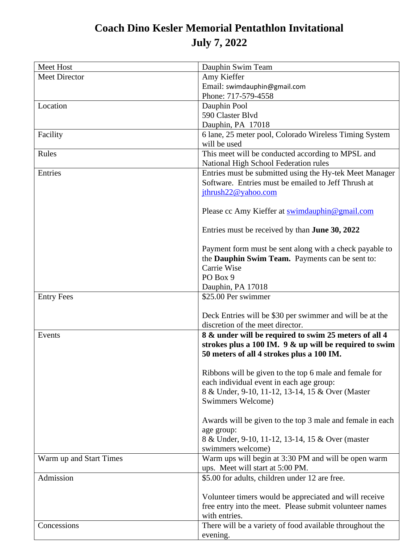## **Coach Dino Kesler Memorial Pentathlon Invitational July 7, 2022**

| Meet Host               | Dauphin Swim Team                                                                                              |  |
|-------------------------|----------------------------------------------------------------------------------------------------------------|--|
| <b>Meet Director</b>    | Amy Kieffer                                                                                                    |  |
|                         | Email: swimdauphin@gmail.com                                                                                   |  |
|                         | Phone: 717-579-4558                                                                                            |  |
| Location                | Dauphin Pool                                                                                                   |  |
|                         | 590 Claster Blvd                                                                                               |  |
|                         | Dauphin, PA 17018                                                                                              |  |
| Facility                | 6 lane, 25 meter pool, Colorado Wireless Timing System                                                         |  |
|                         | will be used                                                                                                   |  |
| Rules                   | This meet will be conducted according to MPSL and                                                              |  |
|                         | National High School Federation rules                                                                          |  |
| Entries                 |                                                                                                                |  |
|                         | Entries must be submitted using the Hy-tek Meet Manager<br>Software. Entries must be emailed to Jeff Thrush at |  |
|                         |                                                                                                                |  |
|                         | jthrush22@yahoo.com                                                                                            |  |
|                         |                                                                                                                |  |
|                         | Please cc Amy Kieffer at swimdauphin@gmail.com                                                                 |  |
|                         |                                                                                                                |  |
|                         | Entries must be received by than <b>June 30, 2022</b>                                                          |  |
|                         |                                                                                                                |  |
|                         | Payment form must be sent along with a check payable to                                                        |  |
|                         | the Dauphin Swim Team. Payments can be sent to:                                                                |  |
|                         | Carrie Wise<br>PO Box 9                                                                                        |  |
|                         |                                                                                                                |  |
|                         | Dauphin, PA 17018                                                                                              |  |
| <b>Entry Fees</b>       | \$25.00 Per swimmer                                                                                            |  |
|                         |                                                                                                                |  |
|                         | Deck Entries will be \$30 per swimmer and will be at the                                                       |  |
|                         | discretion of the meet director.                                                                               |  |
| Events                  | 8 & under will be required to swim 25 meters of all 4                                                          |  |
|                         | strokes plus a 100 IM. $9 &$ up will be required to swim                                                       |  |
|                         | 50 meters of all 4 strokes plus a 100 IM.                                                                      |  |
|                         |                                                                                                                |  |
|                         | Ribbons will be given to the top 6 male and female for                                                         |  |
|                         | each individual event in each age group:                                                                       |  |
|                         | 8 & Under, 9-10, 11-12, 13-14, 15 & Over (Master                                                               |  |
|                         | Swimmers Welcome)                                                                                              |  |
|                         | Awards will be given to the top 3 male and female in each                                                      |  |
|                         |                                                                                                                |  |
|                         | age group:                                                                                                     |  |
|                         | 8 & Under, 9-10, 11-12, 13-14, 15 & Over (master<br>swimmers welcome)                                          |  |
|                         |                                                                                                                |  |
| Warm up and Start Times | Warm ups will begin at 3:30 PM and will be open warm                                                           |  |
|                         | ups. Meet will start at 5:00 PM.                                                                               |  |
| Admission               | \$5.00 for adults, children under 12 are free.                                                                 |  |
|                         |                                                                                                                |  |
|                         | Volunteer timers would be appreciated and will receive                                                         |  |
|                         | free entry into the meet. Please submit volunteer names                                                        |  |
|                         | with entries.                                                                                                  |  |
| Concessions             | There will be a variety of food available throughout the                                                       |  |
|                         | evening.                                                                                                       |  |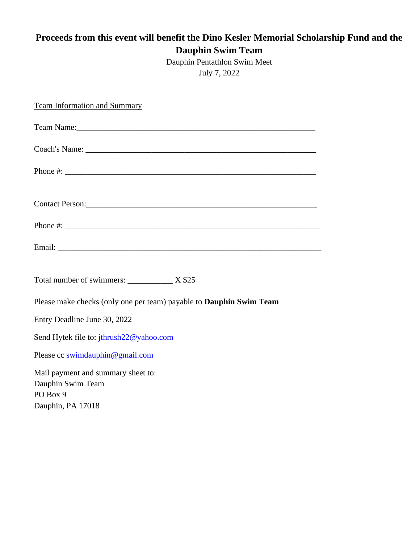## **Proceeds from this event will benefit the Dino Kesler Memorial Scholarship Fund and the Dauphin Swim Team**

Dauphin Pentathlon Swim Meet July 7, 2022

| <b>Team Information and Summary</b>                                                                                                                                                                                                                                                                    |  |  |
|--------------------------------------------------------------------------------------------------------------------------------------------------------------------------------------------------------------------------------------------------------------------------------------------------------|--|--|
| Team Name:                                                                                                                                                                                                                                                                                             |  |  |
|                                                                                                                                                                                                                                                                                                        |  |  |
| Phone #: $\frac{1}{2}$ = $\frac{1}{2}$ = $\frac{1}{2}$ = $\frac{1}{2}$ = $\frac{1}{2}$ = $\frac{1}{2}$ = $\frac{1}{2}$ = $\frac{1}{2}$ = $\frac{1}{2}$ = $\frac{1}{2}$ = $\frac{1}{2}$ = $\frac{1}{2}$ = $\frac{1}{2}$ = $\frac{1}{2}$ = $\frac{1}{2}$ = $\frac{1}{2}$ = $\frac{1}{2}$ = $\frac{1}{2}$ |  |  |
|                                                                                                                                                                                                                                                                                                        |  |  |
| Phone $\#$ :                                                                                                                                                                                                                                                                                           |  |  |
|                                                                                                                                                                                                                                                                                                        |  |  |
| Total number of swimmers: _____________ X \$25                                                                                                                                                                                                                                                         |  |  |
| Please make checks (only one per team) payable to <b>Dauphin Swim Team</b>                                                                                                                                                                                                                             |  |  |
| Entry Deadline June 30, 2022                                                                                                                                                                                                                                                                           |  |  |
| Send Hytek file to: jthrush22@yahoo.com                                                                                                                                                                                                                                                                |  |  |
| Please cc swimdauphin@gmail.com                                                                                                                                                                                                                                                                        |  |  |
| Mail payment and summary sheet to:                                                                                                                                                                                                                                                                     |  |  |
| Dauphin Swim Team                                                                                                                                                                                                                                                                                      |  |  |
| PO Box 9                                                                                                                                                                                                                                                                                               |  |  |
| Dauphin, PA 17018                                                                                                                                                                                                                                                                                      |  |  |